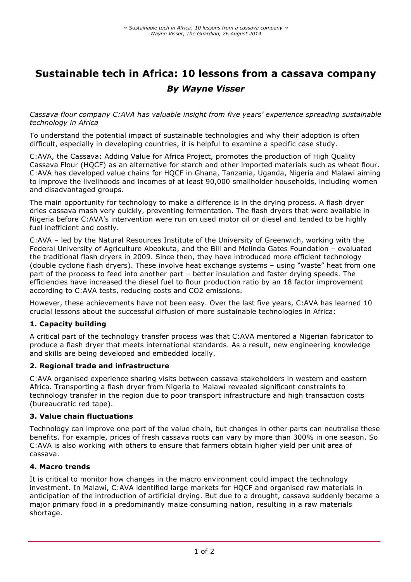# **Sustainable tech in Africa: 10 lessons from a cassava company** *By Wayne Visser*

*Cassava flour company C:AVA has valuable insight from five years' experience spreading sustainable technology in Africa*

To understand the potential impact of sustainable technologies and why their adoption is often difficult, especially in developing countries, it is helpful to examine a specific case study.

C:AVA, the Cassava: Adding Value for Africa Project, promotes the production of High Quality Cassava Flour (HQCF) as an alternative for starch and other imported materials such as wheat flour. C:AVA has developed value chains for HQCF in Ghana, Tanzania, Uganda, Nigeria and Malawi aiming to improve the livelihoods and incomes of at least 90,000 smallholder households, including women and disadvantaged groups.

The main opportunity for technology to make a difference is in the drying process. A flash dryer dries cassava mash very quickly, preventing fermentation. The flash dryers that were available in Nigeria before C:AVA's intervention were run on used motor oil or diesel and tended to be highly fuel inefficient and costly.

C:AVA – led by the Natural Resources Institute of the University of Greenwich, working with the Federal University of Agriculture Abeokuta, and the Bill and Melinda Gates Foundation – evaluated the traditional flash dryers in 2009. Since then, they have introduced more efficient technology (double cyclone flash dryers). These involve heat exchange systems – using "waste" heat from one part of the process to feed into another part – better insulation and faster drying speeds. The efficiencies have increased the diesel fuel to flour production ratio by an 18 factor improvement according to C:AVA tests, reducing costs and CO2 emissions.

However, these achievements have not been easy. Over the last five years, C:AVA has learned 10 crucial lessons about the successful diffusion of more sustainable technologies in Africa:

# **1. Capacity building**

A critical part of the technology transfer process was that C:AVA mentored a Nigerian fabricator to produce a flash dryer that meets international standards. As a result, new engineering knowledge and skills are being developed and embedded locally.

# **2. Regional trade and infrastructure**

C:AVA organised experience sharing visits between cassava stakeholders in western and eastern Africa. Transporting a flash dryer from Nigeria to Malawi revealed significant constraints to technology transfer in the region due to poor transport infrastructure and high transaction costs (bureaucratic red tape).

# **3. Value chain fluctuations**

Technology can improve one part of the value chain, but changes in other parts can neutralise these benefits. For example, prices of fresh cassava roots can vary by more than 300% in one season. So C:AVA is also working with others to ensure that farmers obtain higher yield per unit area of cassava.

# **4. Macro trends**

It is critical to monitor how changes in the macro environment could impact the technology investment. In Malawi, C:AVA identified large markets for HQCF and organised raw materials in anticipation of the introduction of artificial drying. But due to a drought, cassava suddenly became a major primary food in a predominantly maize consuming nation, resulting in a raw materials shortage.